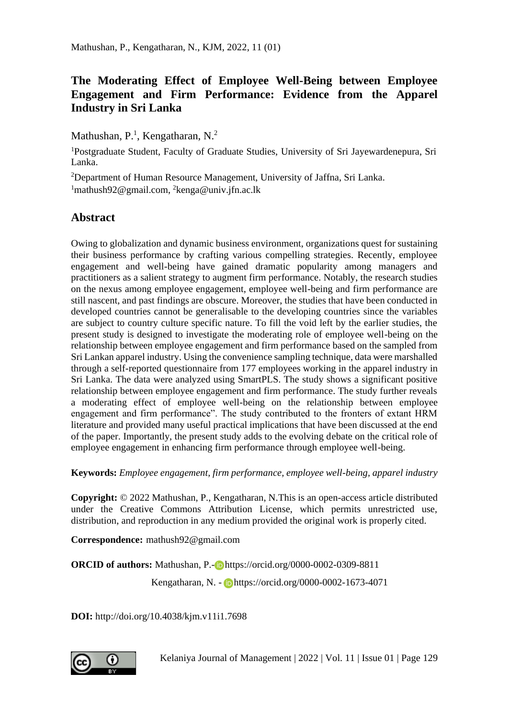# **The Moderating Effect of Employee Well-Being between Employee Engagement and Firm Performance: Evidence from the Apparel Industry in Sri Lanka**

Mathushan, P.<sup>1</sup>, Kengatharan, N.<sup>2</sup>

<sup>1</sup>Postgraduate Student, Faculty of Graduate Studies, University of Sri Jayewardenepura, Sri Lanka.

 $2$ Department of Human Resource Management, University of Jaffna, Sri Lanka. <sup>1</sup>mathush92@gmail.com, <sup>2</sup>kenga@univ.jfn.ac.lk

# **Abstract**

Owing to globalization and dynamic business environment, organizations quest for sustaining their business performance by crafting various compelling strategies. Recently, employee engagement and well-being have gained dramatic popularity among managers and practitioners as a salient strategy to augment firm performance. Notably, the research studies on the nexus among employee engagement, employee well-being and firm performance are still nascent, and past findings are obscure. Moreover, the studies that have been conducted in developed countries cannot be generalisable to the developing countries since the variables are subject to country culture specific nature. To fill the void left by the earlier studies, the present study is designed to investigate the moderating role of employee well-being on the relationship between employee engagement and firm performance based on the sampled from Sri Lankan apparel industry. Using the convenience sampling technique, data were marshalled through a self-reported questionnaire from 177 employees working in the apparel industry in Sri Lanka. The data were analyzed using SmartPLS. The study shows a significant positive relationship between employee engagement and firm performance. The study further reveals a moderating effect of employee well-being on the relationship between employee engagement and firm performance". The study contributed to the fronters of extant HRM literature and provided many useful practical implications that have been discussed at the end of the paper. Importantly, the present study adds to the evolving debate on the critical role of employee engagement in enhancing firm performance through employee well-being.

**Keywords:** *Employee engagement, firm performance, employee well-being, apparel industry* 

**Copyright:** © 2022 Mathushan, P., Kengatharan, N.This is an open-access article distributed under the Creative Commons Attribution License, which permits unrestricted use, distribution, and reproduction in any medium provided the original work is properly cited.

**Correspondence:** mathush92@gmail.com

**ORCID of authors:** Mathushan, P.-**D** https://orcid.org/0000-0002-0309-8811

Kengatharan, N. - https://orcid.org/0000-0002-1673-4071

**DOI:** http://doi.org/10.4038/kjm.v11i1.7698

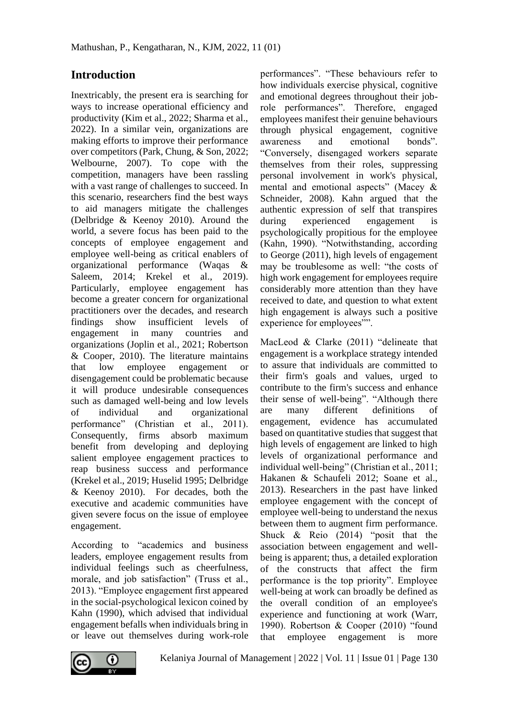# **Introduction**

Inextricably, the present era is searching for ways to increase operational efficiency and productivity (Kim et al., 2022; Sharma et al., 2022). In a similar vein, organizations are making efforts to improve their performance over competitors (Park, Chung, & Son, 2022; Welbourne, 2007). To cope with the competition, managers have been rassling with a vast range of challenges to succeed. In this scenario, researchers find the best ways to aid managers mitigate the challenges (Delbridge & Keenoy 2010). Around the world, a severe focus has been paid to the concepts of employee engagement and employee well-being as critical enablers of organizational performance (Waqas & Saleem, 2014; Krekel et al., 2019). Particularly, employee engagement has become a greater concern for organizational practitioners over the decades, and research findings show insufficient levels of engagement in many countries and organizations (Joplin et al., 2021; Robertson & Cooper, 2010). The literature maintains that low employee engagement or disengagement could be problematic because it will produce undesirable consequences such as damaged well-being and low levels of individual and organizational performance" (Christian et al., 2011). Consequently, firms absorb maximum benefit from developing and deploying salient employee engagement practices to reap business success and performance (Krekel et al., 2019; Huselid 1995; Delbridge & Keenoy 2010). For decades, both the executive and academic communities have given severe focus on the issue of employee engagement.

According to "academics and business leaders, employee engagement results from individual feelings such as cheerfulness, morale, and job satisfaction" (Truss et al., 2013). "Employee engagement first appeared in the social-psychological lexicon coined by Kahn (1990), which advised that individual engagement befalls when individuals bring in or leave out themselves during work-role performances". "These behaviours refer to how individuals exercise physical, cognitive and emotional degrees throughout their jobrole performances". Therefore, engaged employees manifest their genuine behaviours through physical engagement, cognitive awareness and emotional bonds". "Conversely, disengaged workers separate themselves from their roles, suppressing personal involvement in work's physical, mental and emotional aspects" (Macey & Schneider, 2008). Kahn argued that the authentic expression of self that transpires during experienced engagement is psychologically propitious for the employee (Kahn, 1990). "Notwithstanding, according to George (2011), high levels of engagement may be troublesome as well: "the costs of high work engagement for employees require considerably more attention than they have received to date, and question to what extent high engagement is always such a positive experience for employees"".

MacLeod & Clarke (2011) "delineate that engagement is a workplace strategy intended to assure that individuals are committed to their firm's goals and values, urged to contribute to the firm's success and enhance their sense of well-being". "Although there are many different definitions of engagement, evidence has accumulated based on quantitative studies that suggest that high levels of engagement are linked to high levels of organizational performance and individual well-being" (Christian et al., 2011; Hakanen & Schaufeli 2012; Soane et al., 2013). Researchers in the past have linked employee engagement with the concept of employee well-being to understand the nexus between them to augment firm performance. Shuck & Reio (2014) "posit that the association between engagement and wellbeing is apparent; thus, a detailed exploration of the constructs that affect the firm performance is the top priority". Employee well-being at work can broadly be defined as the overall condition of an employee's experience and functioning at work (Warr, 1990). Robertson & Cooper (2010) "found that employee engagement is more

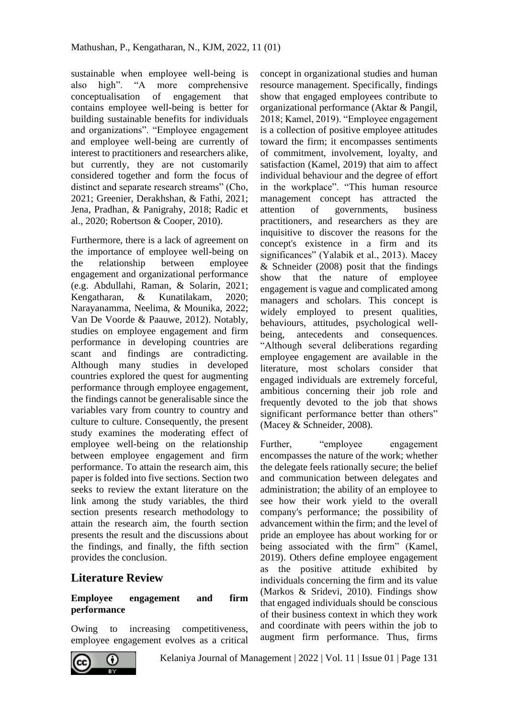sustainable when employee well-being is also high". "A more comprehensive conceptualisation of engagement that contains employee well-being is better for building sustainable benefits for individuals and organizations". "Employee engagement and employee well-being are currently of interest to practitioners and researchers alike, but currently, they are not customarily considered together and form the focus of distinct and separate research streams" (Cho, 2021; Greenier, Derakhshan, & Fathi, 2021; Jena, Pradhan, & Panigrahy, 2018; Radic et al., 2020; Robertson & Cooper, 2010).

Furthermore, there is a lack of agreement on the importance of employee well-being on the relationship between employee engagement and organizational performance (e.g. Abdullahi, Raman, & Solarin, 2021; Kengatharan, & Kunatilakam, 2020; Narayanamma, Neelima, & Mounika, 2022; Van De Voorde & Paauwe, 2012). Notably, studies on employee engagement and firm performance in developing countries are scant and findings are contradicting. Although many studies in developed countries explored the quest for augmenting performance through employee engagement, the findings cannot be generalisable since the variables vary from country to country and culture to culture. Consequently, the present study examines the moderating effect of employee well-being on the relationship between employee engagement and firm performance. To attain the research aim, this paper is folded into five sections. Section two seeks to review the extant literature on the link among the study variables, the third section presents research methodology to attain the research aim, the fourth section presents the result and the discussions about the findings, and finally, the fifth section provides the conclusion.

## **Literature Review**

#### **Employee engagement and firm performance**

Owing to increasing competitiveness, employee engagement evolves as a critical concept in organizational studies and human resource management. Specifically, findings show that engaged employees contribute to organizational performance (Aktar & Pangil, 2018; Kamel, 2019). "Employee engagement is a collection of positive employee attitudes toward the firm; it encompasses sentiments of commitment, involvement, loyalty, and satisfaction (Kamel, 2019) that aim to affect individual behaviour and the degree of effort in the workplace". "This human resource management concept has attracted the attention of governments, business practitioners, and researchers as they are inquisitive to discover the reasons for the concept's existence in a firm and its significances" (Yalabik et al., 2013). Macey & Schneider (2008) posit that the findings show that the nature of employee engagement is vague and complicated among managers and scholars. This concept is widely employed to present qualities, behaviours, attitudes, psychological wellbeing, antecedents and consequences. "Although several deliberations regarding employee engagement are available in the literature, most scholars consider that engaged individuals are extremely forceful, ambitious concerning their job role and frequently devoted to the job that shows significant performance better than others" (Macey & Schneider, 2008).

Further, "employee engagement" encompasses the nature of the work; whether the delegate feels rationally secure; the belief and communication between delegates and administration; the ability of an employee to see how their work yield to the overall company's performance; the possibility of advancement within the firm; and the level of pride an employee has about working for or being associated with the firm" (Kamel, 2019). Others define employee engagement as the positive attitude exhibited by individuals concerning the firm and its value (Markos & Sridevi, 2010). Findings show that engaged individuals should be conscious of their business context in which they work and coordinate with peers within the job to augment firm performance. Thus, firms

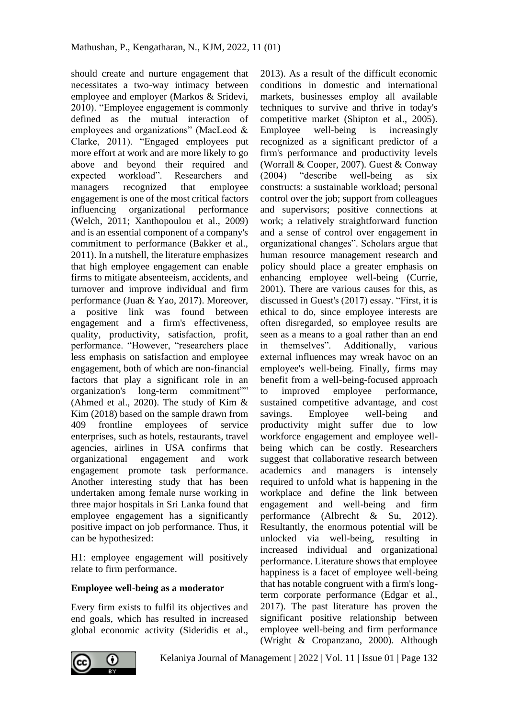should create and nurture engagement that necessitates a two-way intimacy between employee and employer (Markos & Sridevi, 2010). "Employee engagement is commonly defined as the mutual interaction of employees and organizations" (MacLeod & Clarke, 2011). "Engaged employees put more effort at work and are more likely to go above and beyond their required and expected workload". Researchers and managers recognized that employee engagement is one of the most critical factors influencing organizational performance (Welch, 2011; Xanthopoulou et al., 2009) and is an essential component of a company's commitment to performance (Bakker et al., 2011). In a nutshell, the literature emphasizes that high employee engagement can enable firms to mitigate absenteeism, accidents, and turnover and improve individual and firm performance (Juan & Yao, 2017). Moreover, a positive link was found between engagement and a firm's effectiveness, quality, productivity, satisfaction, profit, performance. "However, "researchers place less emphasis on satisfaction and employee engagement, both of which are non-financial factors that play a significant role in an organization's long-term commitment"" (Ahmed et al., 2020). The study of Kim  $\&$ Kim (2018) based on the sample drawn from 409 frontline employees of service enterprises, such as hotels, restaurants, travel agencies, airlines in USA confirms that organizational engagement and work engagement promote task performance. Another interesting study that has been undertaken among female nurse working in three major hospitals in Sri Lanka found that employee engagement has a significantly positive impact on job performance. Thus, it can be hypothesized:

H1: employee engagement will positively relate to firm performance.

### **Employee well-being as a moderator**

Every firm exists to fulfil its objectives and end goals, which has resulted in increased global economic activity (Sideridis et al.,

2013). As a result of the difficult economic conditions in domestic and international markets, businesses employ all available techniques to survive and thrive in today's competitive market (Shipton et al., 2005). Employee well-being is increasingly recognized as a significant predictor of a firm's performance and productivity levels (Worrall & Cooper, 2007). Guest & Conway (2004) "describe well-being as six constructs: a sustainable workload; personal control over the job; support from colleagues and supervisors; positive connections at work; a relatively straightforward function and a sense of control over engagement in organizational changes". Scholars argue that human resource management research and policy should place a greater emphasis on enhancing employee well-being (Currie, 2001). There are various causes for this, as discussed in Guest's (2017) essay. "First, it is ethical to do, since employee interests are often disregarded, so employee results are seen as a means to a goal rather than an end in themselves". Additionally, various external influences may wreak havoc on an employee's well-being. Finally, firms may benefit from a well-being-focused approach to improved employee performance, sustained competitive advantage, and cost savings. Employee well-being and productivity might suffer due to low workforce engagement and employee wellbeing which can be costly. Researchers suggest that collaborative research between academics and managers is intensely required to unfold what is happening in the workplace and define the link between engagement and well-being and firm performance (Albrecht & Su, 2012). Resultantly, the enormous potential will be unlocked via well-being, resulting in increased individual and organizational performance. Literature shows that employee happiness is a facet of employee well-being that has notable congruent with a firm's longterm corporate performance (Edgar et al., 2017). The past literature has proven the significant positive relationship between employee well-being and firm performance (Wright & Cropanzano, 2000). Although

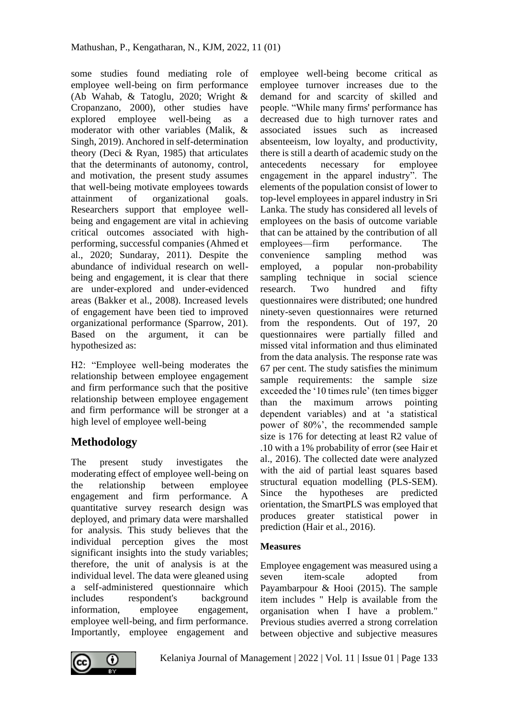some studies found mediating role of employee well-being on firm performance (Ab Wahab, & Tatoglu, 2020; Wright & Cropanzano, 2000), other studies have explored employee well-being as a moderator with other variables (Malik, & Singh, 2019). Anchored in self-determination theory (Deci  $& Ryan$ , 1985) that articulates that the determinants of autonomy, control, and motivation, the present study assumes that well-being motivate employees towards attainment of organizational goals. Researchers support that employee wellbeing and engagement are vital in achieving critical outcomes associated with highperforming, successful companies (Ahmed et al., 2020; Sundaray, 2011). Despite the abundance of individual research on wellbeing and engagement, it is clear that there are under-explored and under-evidenced areas (Bakker et al., 2008). Increased levels of engagement have been tied to improved organizational performance (Sparrow, 201). Based on the argument, it can be hypothesized as:

H2: "Employee well-being moderates the relationship between employee engagement and firm performance such that the positive relationship between employee engagement and firm performance will be stronger at a high level of employee well-being

# **Methodology**

The present study investigates the moderating effect of employee well-being on the relationship between employee engagement and firm performance. A quantitative survey research design was deployed, and primary data were marshalled for analysis. This study believes that the individual perception gives the most significant insights into the study variables; therefore, the unit of analysis is at the individual level. The data were gleaned using a self-administered questionnaire which includes respondent's background information, employee engagement, employee well-being, and firm performance. Importantly, employee engagement and

employee well-being become critical as employee turnover increases due to the demand for and scarcity of skilled and people. "While many firms' performance has decreased due to high turnover rates and associated issues such as increased absenteeism, low loyalty, and productivity, there is still a dearth of academic study on the antecedents necessary for employee engagement in the apparel industry". The elements of the population consist of lower to top-level employees in apparel industry in Sri Lanka. The study has considered all levels of employees on the basis of outcome variable that can be attained by the contribution of all employees—firm performance. The convenience sampling method was employed, a popular non-probability sampling technique in social science research. Two hundred and fifty questionnaires were distributed; one hundred ninety-seven questionnaires were returned from the respondents. Out of 197, 20 questionnaires were partially filled and missed vital information and thus eliminated from the data analysis. The response rate was 67 per cent. The study satisfies the minimum sample requirements: the sample size exceeded the '10 times rule' (ten times bigger than the maximum arrows pointing dependent variables) and at 'a statistical power of 80%', the recommended sample size is 176 for detecting at least R2 value of .10 with a 1% probability of error (see Hair et al., 2016). The collected date were analyzed with the aid of partial least squares based structural equation modelling (PLS-SEM). Since the hypotheses are predicted orientation, the SmartPLS was employed that produces greater statistical power in prediction (Hair et al., 2016).

### **Measures**

Employee engagement was measured using a seven item-scale adopted from Payambarpour & Hooi (2015). The sample item includes " Help is available from the organisation when I have a problem." Previous studies averred a strong correlation between objective and subjective measures

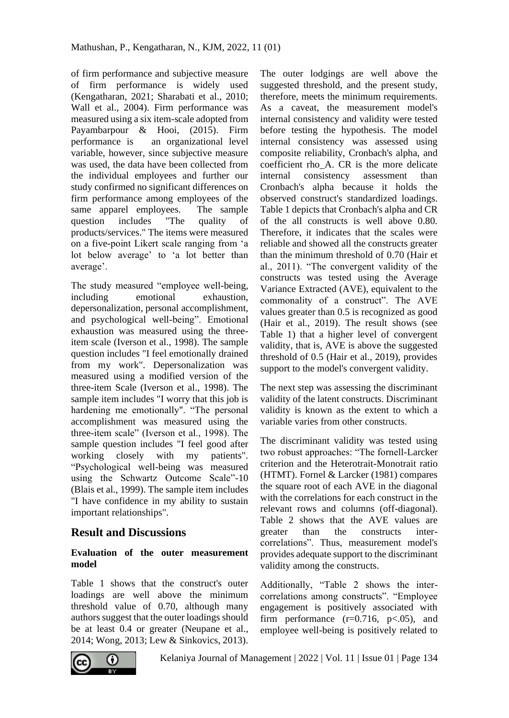of firm performance and subjective measure of firm performance is widely used (Kengatharan, 2021; Sharabati et al., 2010; Wall et al., 2004). Firm performance was measured using a six item-scale adopted from Payambarpour & Hooi, (2015). Firm performance is an organizational level variable, however, since subjective measure was used, the data have been collected from the individual employees and further our study confirmed no significant differences on firm performance among employees of the same apparel employees. The sample question includes "The quality of products/services." The items were measured on a five-point Likert scale ranging from 'a lot below average' to 'a lot better than average'.

The study measured "employee well-being, including emotional exhaustion, depersonalization, personal accomplishment, and psychological well-being". Emotional exhaustion was measured using the threeitem scale (Iverson et al., 1998). The sample question includes "I feel emotionally drained from my work". Depersonalization was measured using a modified version of the three-item Scale (Iverson et al., 1998). The sample item includes "I worry that this job is hardening me emotionally". "The personal accomplishment was measured using the three-item scale" (Iverson et al., 1998). The sample question includes "I feel good after working closely with my patients". "Psychological well-being was measured using the Schwartz Outcome Scale"-10 (Blais et al., 1999). The sample item includes "I have confidence in my ability to sustain important relationships".

## **Result and Discussions**

#### **Evaluation of the outer measurement model**

Table 1 shows that the construct's outer loadings are well above the minimum threshold value of 0.70, although many authors suggest that the outer loadings should be at least 0.4 or greater (Neupane et al., 2014; Wong, 2013; Lew & Sinkovics, 2013).

The outer lodgings are well above the suggested threshold, and the present study, therefore, meets the minimum requirements. As a caveat, the measurement model's internal consistency and validity were tested before testing the hypothesis. The model internal consistency was assessed using composite reliability, Cronbach's alpha, and coefficient rho\_A. CR is the more delicate internal consistency assessment than Cronbach's alpha because it holds the observed construct's standardized loadings. Table 1 depicts that Cronbach's alpha and CR of the all constructs is well above 0.80. Therefore, it indicates that the scales were reliable and showed all the constructs greater than the minimum threshold of 0.70 (Hair et al., 2011). "The convergent validity of the constructs was tested using the Average Variance Extracted (AVE), equivalent to the commonality of a construct". The AVE values greater than 0.5 is recognized as good (Hair et al., 2019). The result shows (see Table 1) that a higher level of convergent validity, that is, AVE is above the suggested threshold of 0.5 (Hair et al., 2019), provides support to the model's convergent validity.

The next step was assessing the discriminant validity of the latent constructs. Discriminant validity is known as the extent to which a variable varies from other constructs.

The discriminant validity was tested using two robust approaches: "The fornell-Larcker criterion and the Heterotrait-Monotrait ratio (HTMT). Fornel & Larcker (1981) compares the square root of each AVE in the diagonal with the correlations for each construct in the relevant rows and columns (off-diagonal). Table 2 shows that the AVE values are greater than the constructs intercorrelations". Thus, measurement model's provides adequate support to the discriminant validity among the constructs.

Additionally, "Table 2 shows the intercorrelations among constructs". "Employee engagement is positively associated with firm performance  $(r=0.716, p<.05)$ , and employee well-being is positively related to

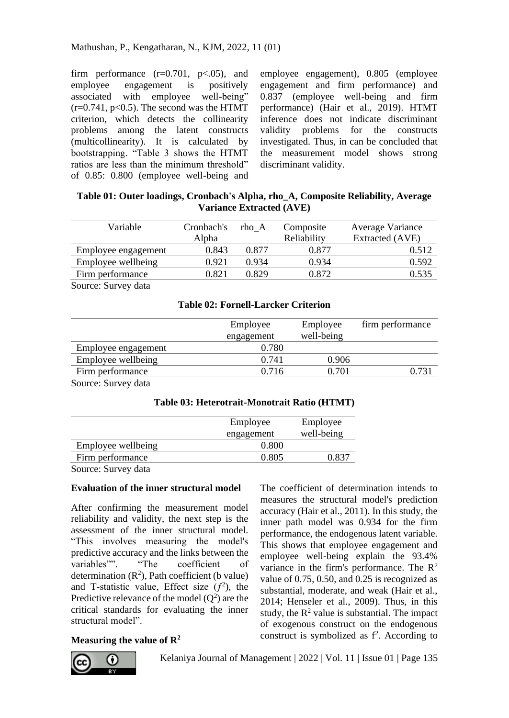firm performance  $(r=0.701, p<0.05)$ , and employee engagement is positively associated with employee well-being"  $(r=0.741, p<0.5)$ . The second was the HTMT criterion, which detects the collinearity problems among the latent constructs (multicollinearity). It is calculated by bootstrapping. "Table 3 shows the HTMT ratios are less than the minimum threshold" of 0.85: 0.800 (employee well-being and employee engagement), 0.805 (employee engagement and firm performance) and 0.837 (employee well-being and firm performance) (Hair et al., 2019). HTMT inference does not indicate discriminant validity problems for the constructs investigated. Thus, in can be concluded that the measurement model shows strong discriminant validity.

### **Table 01: Outer loadings, Cronbach's Alpha, rho\_A, Composite Reliability, Average Variance Extracted (AVE)**

| Variable            | Cronbach's | rho A | Composite   | Average Variance |  |
|---------------------|------------|-------|-------------|------------------|--|
|                     | Alpha      |       | Reliability | Extracted (AVE)  |  |
| Employee engagement | 0.843      | 0.877 | 0.877       | 0.512            |  |
| Employee wellbeing  | 0.921      | 0.934 | 0.934       | 0.592            |  |
| Firm performance    | 0.821      | 0.829 | 0.872       | 0.535            |  |
|                     |            |       |             |                  |  |

Source: Survey data

### **Table 02: Fornell-Larcker Criterion**

|                     | Employee<br>engagement | Employee<br>well-being | firm performance |
|---------------------|------------------------|------------------------|------------------|
| Employee engagement | 0.780                  |                        |                  |
| Employee wellbeing  | 0.741                  | 0.906                  |                  |
| Firm performance    | 0.716                  | 0.701                  | 0.731            |
|                     |                        |                        |                  |

Source: Survey data

#### **Table 03: Heterotrait-Monotrait Ratio (HTMT)**

|                     | Employee   | Employee   |
|---------------------|------------|------------|
|                     | engagement | well-being |
| Employee wellbeing  | 0.800      |            |
| Firm performance    | 0.805      | 0.837      |
| Source: Survey data |            |            |

#### **Evaluation of the inner structural model**

After confirming the measurement model reliability and validity, the next step is the assessment of the inner structural model. "This involves measuring the model's predictive accuracy and the links between the<br>variables"". "The coefficient of variables"". "The coefficient of determination  $(R^2)$ , Path coefficient (b value) and T-statistic value, Effect size  $(f^2)$ , the Predictive relevance of the model  $(Q^2)$  are the critical standards for evaluating the inner structural model".

#### **Measuring the value of R<sup>2</sup>**



The coefficient of determination intends to measures the structural model's prediction accuracy (Hair et al., 2011). In this study, the inner path model was 0.934 for the firm

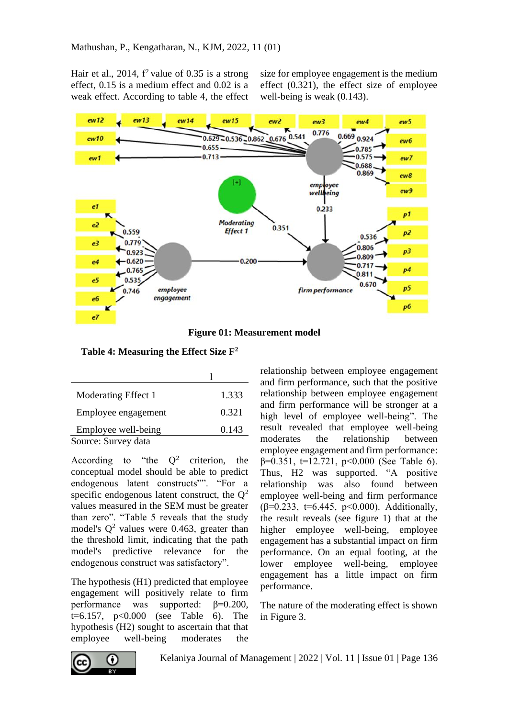Hair et al.,  $2014$ ,  $f^2$  value of 0.35 is a strong effect, 0.15 is a medium effect and 0.02 is a weak effect. According to table 4, the effect

size for employee engagement is the medium effect (0.321), the effect size of employee well-being is weak (0.143).



**Figure 01: Measurement model**

**Table 4: Measuring the Effect Size F<sup>2</sup>**

| Moderating Effect 1 | 1.333 |
|---------------------|-------|
| Employee engagement | 0.321 |
| Employee well-being | 0.143 |
| Source: Survey data |       |

According to "the  $Q^2$  criterion, the conceptual model should be able to predict endogenous latent constructs"". "For a specific endogenous latent construct, the  $Q<sup>2</sup>$ values measured in the SEM must be greater than zero". "Table 5 reveals that the study model's  $Q^2$  values were 0.463, greater than the threshold limit, indicating that the path model's predictive relevance for the endogenous construct was satisfactory".

The hypothesis (H1) predicted that employee engagement will positively relate to firm performance was supported:  $\beta = 0.200$ , t=6.157,  $p<0.000$  (see Table 6). The hypothesis (H2) sought to ascertain that that employee well-being moderates the relationship between employee engagement and firm performance, such that the positive relationship between employee engagement and firm performance will be stronger at a high level of employee well-being". The result revealed that employee well-being moderates the relationship between employee engagement and firm performance:  $\beta$ =0.351, t=12.721, p<0.000 (See Table 6). Thus, H2 was supported. "A positive relationship was also found between employee well-being and firm performance ( $\beta$ =0.233, t=6.445, p<0.000). Additionally, the result reveals (see figure 1) that at the higher employee well-being, employee engagement has a substantial impact on firm performance. On an equal footing, at the lower employee well-being, employee engagement has a little impact on firm performance.

The nature of the moderating effect is shown in Figure 3.

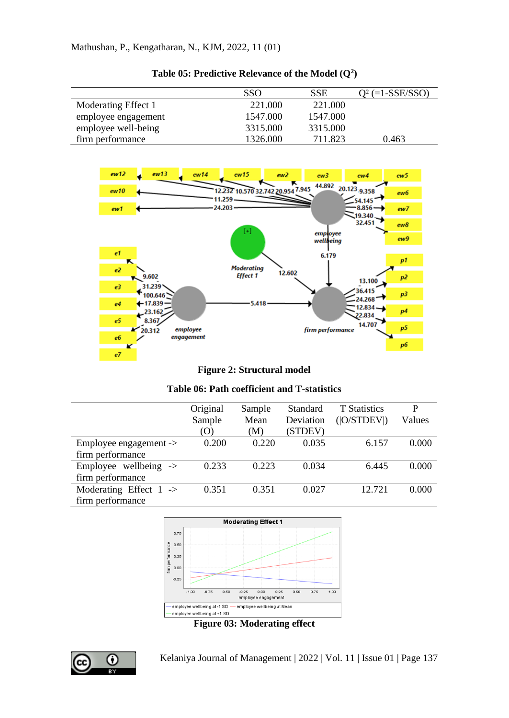|                     | SSO.     | SSE      | $Q^2$ (=1-SSE/SSO) |
|---------------------|----------|----------|--------------------|
| Moderating Effect 1 | 221.000  | 221.000  |                    |
| employee engagement | 1547.000 | 1547.000 |                    |
| employee well-being | 3315.000 | 3315.000 |                    |
| firm performance    | 1326.000 | 711.823  | 0.463              |

|  |  | Table 05: Predictive Relevance of the Model $(Q^2)$ |  |  |  |
|--|--|-----------------------------------------------------|--|--|--|
|--|--|-----------------------------------------------------|--|--|--|



**Figure 2: Structural model**

| Table 06: Path coefficient and T-statistics |
|---------------------------------------------|
|---------------------------------------------|

|                                     | Original | Sample | Standard  | <b>T</b> Statistics | P      |
|-------------------------------------|----------|--------|-----------|---------------------|--------|
|                                     | Sample   | Mean   | Deviation | ( O/STDEV )         | Values |
|                                     | (O)      | (M)    | (STDEV)   |                     |        |
| $Emplovee$ engagement $\rightarrow$ | 0.200    | 0.220  | 0.035     | 6.157               | 0.000  |
| firm performance                    |          |        |           |                     |        |
| Employee wellbeing $\rightarrow$    | 0.233    | 0.223  | 0.034     | 6.445               | 0.000  |
| firm performance                    |          |        |           |                     |        |
| Moderating Effect $1 \rightarrow$   | 0.351    | 0.351  | 0.027     | 12.721              | 0.000  |
| firm performance                    |          |        |           |                     |        |



**Figure 03: Moderating effect**

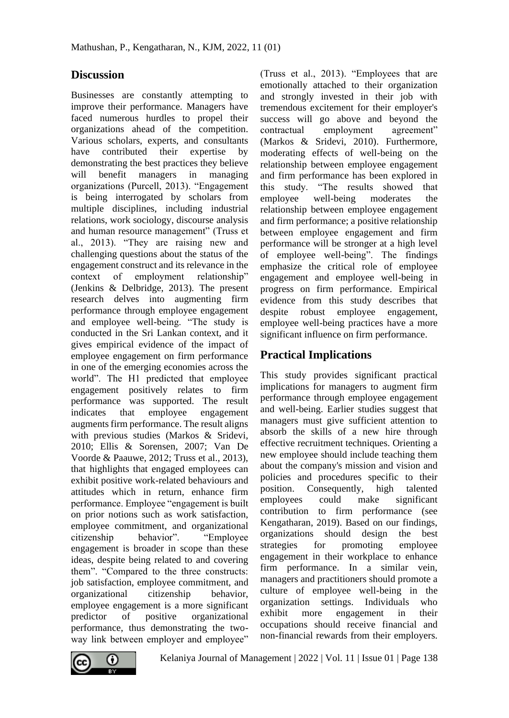## **Discussion**

Businesses are constantly attempting to improve their performance. Managers have faced numerous hurdles to propel their organizations ahead of the competition. Various scholars, experts, and consultants have contributed their expertise by demonstrating the best practices they believe will benefit managers in managing organizations (Purcell, 2013). "Engagement is being interrogated by scholars from multiple disciplines, including industrial relations, work sociology, discourse analysis and human resource management" (Truss et al., 2013). "They are raising new and challenging questions about the status of the engagement construct and its relevance in the context of employment relationship" (Jenkins & Delbridge, 2013). The present research delves into augmenting firm performance through employee engagement and employee well-being. "The study is conducted in the Sri Lankan context, and it gives empirical evidence of the impact of employee engagement on firm performance in one of the emerging economies across the world". The H1 predicted that employee engagement positively relates to firm performance was supported. The result indicates that employee engagement augments firm performance. The result aligns with previous studies (Markos & Sridevi, 2010; Ellis & Sorensen, 2007; Van De Voorde & Paauwe, 2012; Truss et al., 2013), that highlights that engaged employees can exhibit positive work-related behaviours and attitudes which in return, enhance firm performance. Employee "engagement is built on prior notions such as work satisfaction, employee commitment, and organizational citizenship behavior". "Employee engagement is broader in scope than these ideas, despite being related to and covering them". "Compared to the three constructs: job satisfaction, employee commitment, and organizational citizenship behavior, employee engagement is a more significant predictor of positive organizational performance, thus demonstrating the twoway link between employer and employee"

(Truss et al., 2013). "Employees that are emotionally attached to their organization and strongly invested in their job with tremendous excitement for their employer's success will go above and beyond the contractual employment agreement" (Markos & Sridevi, 2010). Furthermore, moderating effects of well-being on the relationship between employee engagement and firm performance has been explored in this study. "The results showed that employee well-being moderates the relationship between employee engagement and firm performance; a positive relationship between employee engagement and firm performance will be stronger at a high level of employee well-being". The findings emphasize the critical role of employee engagement and employee well-being in progress on firm performance. Empirical evidence from this study describes that despite robust employee engagement, employee well-being practices have a more significant influence on firm performance.

# **Practical Implications**

This study provides significant practical implications for managers to augment firm performance through employee engagement and well-being. Earlier studies suggest that managers must give sufficient attention to absorb the skills of a new hire through effective recruitment techniques. Orienting a new employee should include teaching them about the company's mission and vision and policies and procedures specific to their position. Consequently, high talented employees could make significant contribution to firm performance (see Kengatharan, 2019). Based on our findings, organizations should design the best strategies for promoting employee engagement in their workplace to enhance firm performance. In a similar vein, managers and practitioners should promote a culture of employee well-being in the organization settings. Individuals who exhibit more engagement in their occupations should receive financial and non-financial rewards from their employers.

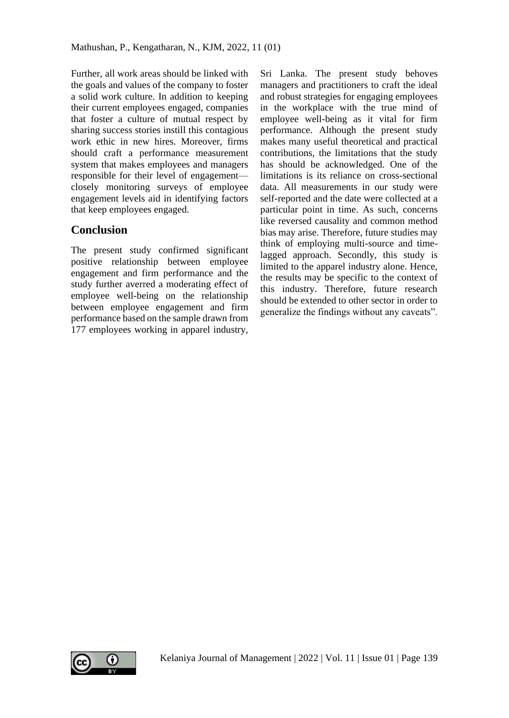Further, all work areas should be linked with the goals and values of the company to foster a solid work culture. In addition to keeping their current employees engaged, companies that foster a culture of mutual respect by sharing success stories instill this contagious work ethic in new hires. Moreover, firms should craft a performance measurement system that makes employees and managers responsible for their level of engagement closely monitoring surveys of employee engagement levels aid in identifying factors that keep employees engaged.

## **Conclusion**

The present study confirmed significant positive relationship between employee engagement and firm performance and the study further averred a moderating effect of employee well-being on the relationship between employee engagement and firm performance based on the sample drawn from 177 employees working in apparel industry, Sri Lanka. The present study behoves managers and practitioners to craft the ideal and robust strategies for engaging employees in the workplace with the true mind of employee well-being as it vital for firm performance. Although the present study makes many useful theoretical and practical contributions, the limitations that the study has should be acknowledged. One of the limitations is its reliance on cross-sectional data. All measurements in our study were self-reported and the date were collected at a particular point in time. As such, concerns like reversed causality and common method bias may arise. Therefore, future studies may think of employing multi-source and timelagged approach. Secondly, this study is limited to the apparel industry alone. Hence, the results may be specific to the context of this industry. Therefore, future research should be extended to other sector in order to generalize the findings without any caveats".

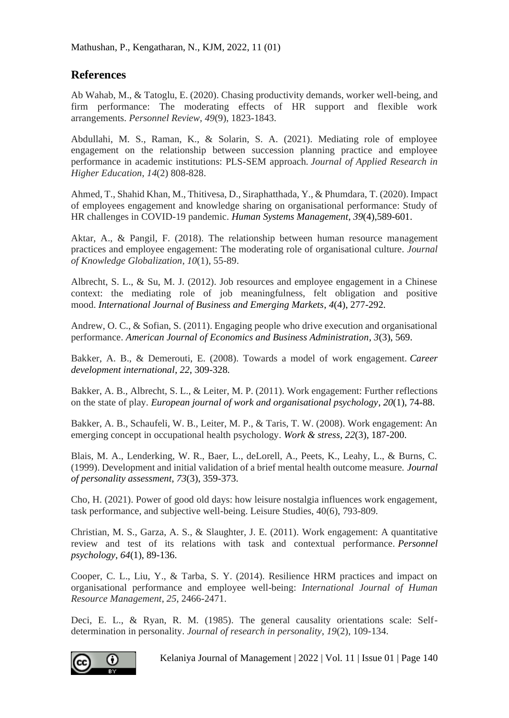## **References**

Ab Wahab, M., & Tatoglu, E. (2020). Chasing productivity demands, worker well-being, and firm performance: The moderating effects of HR support and flexible work arrangements. *Personnel Review*, *49*(9), 1823-1843.

Abdullahi, M. S., Raman, K., & Solarin, S. A. (2021). Mediating role of employee engagement on the relationship between succession planning practice and employee performance in academic institutions: PLS-SEM approach. *Journal of Applied Research in Higher Education*, *14*(2) 808-828.

Ahmed, T., Shahid Khan, M., Thitivesa, D., Siraphatthada, Y., & Phumdara, T. (2020). Impact of employees engagement and knowledge sharing on organisational performance: Study of HR challenges in COVID-19 pandemic. *Human Systems Management*, *39*(4),589-601.

Aktar, A., & Pangil, F. (2018). The relationship between human resource management practices and employee engagement: The moderating role of organisational culture. *Journal of Knowledge Globalization*, *10*(1), 55-89.

Albrecht, S. L., & Su, M. J. (2012). Job resources and employee engagement in a Chinese context: the mediating role of job meaningfulness, felt obligation and positive mood. *International Journal of Business and Emerging Markets*, *4*(4), 277-292.

Andrew, O. C., & Sofian, S. (2011). Engaging people who drive execution and organisational performance. *American Journal of Economics and Business Administration*, *3*(3), 569.

Bakker, A. B., & Demerouti, E. (2008). Towards a model of work engagement. *Career development international*, *22*, 309-328.

Bakker, A. B., Albrecht, S. L., & Leiter, M. P. (2011). Work engagement: Further reflections on the state of play. *European journal of work and organisational psychology*, *20*(1), 74-88.

Bakker, A. B., Schaufeli, W. B., Leiter, M. P., & Taris, T. W. (2008). Work engagement: An emerging concept in occupational health psychology. *Work & stress*, *22*(3), 187-200.

Blais, M. A., Lenderking, W. R., Baer, L., deLorell, A., Peets, K., Leahy, L., & Burns, C. (1999). Development and initial validation of a brief mental health outcome measure. *Journal of personality assessment*, *73*(3), 359-373.

Cho, H. (2021). Power of good old days: how leisure nostalgia influences work engagement, task performance, and subjective well-being. Leisure Studies, 40(6), 793-809.

Christian, M. S., Garza, A. S., & Slaughter, J. E. (2011). Work engagement: A quantitative review and test of its relations with task and contextual performance. *Personnel psychology*, *64*(1), 89-136.

Cooper, C. L., Liu, Y., & Tarba, S. Y. (2014). Resilience HRM practices and impact on organisational performance and employee well-being: *International Journal of Human Resource Management*, *25*, 2466-2471.

Deci, E. L., & Ryan, R. M. (1985). The general causality orientations scale: Selfdetermination in personality. *Journal of research in personality*, *19*(2), 109-134.

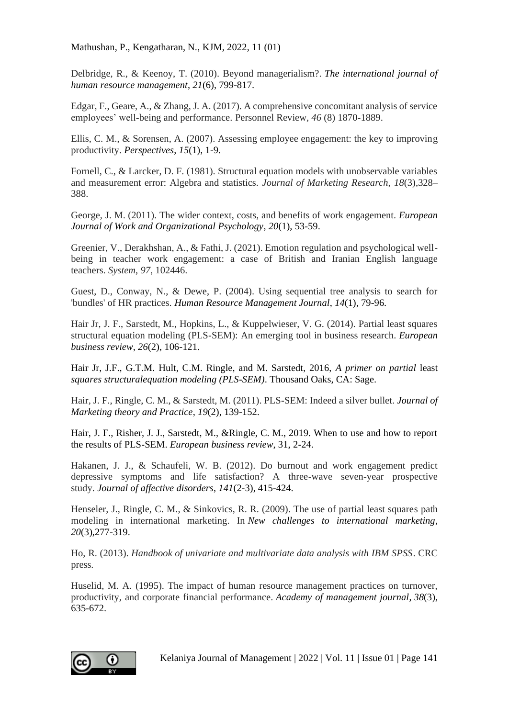Delbridge, R., & Keenoy, T. (2010). Beyond managerialism?. *The international journal of human resource management*, *21*(6), 799-817.

Edgar, F., Geare, A., & Zhang, J. A. (2017). A comprehensive concomitant analysis of service employees' well-being and performance. Personnel Review, *46* (8) 1870-1889.

Ellis, C. M., & Sorensen, A. (2007). Assessing employee engagement: the key to improving productivity. *Perspectives*, *15*(1), 1-9.

Fornell, C., & Larcker, D. F. (1981). Structural equation models with unobservable variables and measurement error: Algebra and statistics. *Journal of Marketing Research, 18*(3),328– 388.

George, J. M. (2011). The wider context, costs, and benefits of work engagement. *European Journal of Work and Organizational Psychology*, *20*(1), 53-59.

Greenier, V., Derakhshan, A., & Fathi, J. (2021). Emotion regulation and psychological wellbeing in teacher work engagement: a case of British and Iranian English language teachers. *System*, *97*, 102446.

Guest, D., Conway, N., & Dewe, P. (2004). Using sequential tree analysis to search for 'bundles' of HR practices. *Human Resource Management Journal*, *14*(1), 79-96.

Hair Jr, J. F., Sarstedt, M., Hopkins, L., & Kuppelwieser, V. G. (2014). Partial least squares structural equation modeling (PLS-SEM): An emerging tool in business research. *European business review*, *26*(2), 106-121.

Hair Jr, J.F., G.T.M. Hult, C.M. Ringle, and M. Sarstedt, 2016, *A primer on partial* least *squares structuralequation modeling (PLS-SEM)*. Thousand Oaks, CA: Sage.

Hair, J. F., Ringle, C. M., & Sarstedt, M. (2011). PLS-SEM: Indeed a silver bullet. *Journal of Marketing theory and Practice*, *19*(2), 139-152.

Hair, J. F., Risher, J. J., Sarstedt, M., &Ringle, C. M., 2019. When to use and how to report the results of PLS-SEM. *European business review*, 31, 2-24.

Hakanen, J. J., & Schaufeli, W. B. (2012). Do burnout and work engagement predict depressive symptoms and life satisfaction? A three-wave seven-year prospective study. *Journal of affective disorders*, *141*(2-3), 415-424.

Henseler, J., Ringle, C. M., & Sinkovics, R. R. (2009). The use of partial least squares path modeling in international marketing. In *New challenges to international marketing*, *20*(3),277-319.

Ho, R. (2013). *Handbook of univariate and multivariate data analysis with IBM SPSS*. CRC press.

Huselid, M. A. (1995). The impact of human resource management practices on turnover, productivity, and corporate financial performance. *Academy of management journal*, *38*(3), 635-672.

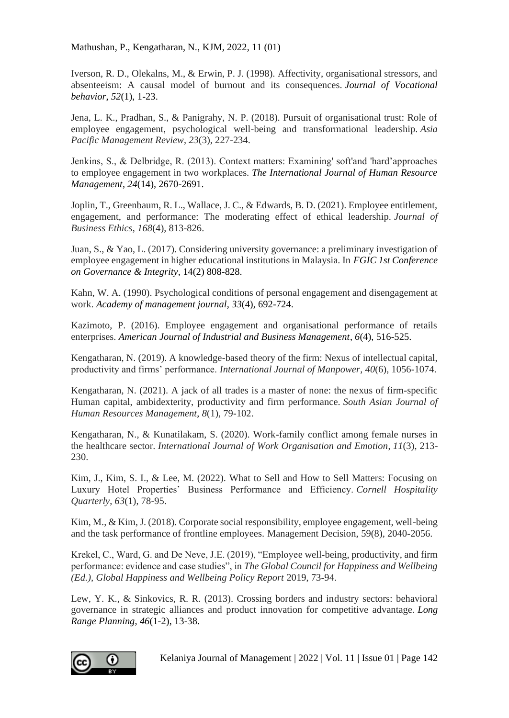Iverson, R. D., Olekalns, M., & Erwin, P. J. (1998). Affectivity, organisational stressors, and absenteeism: A causal model of burnout and its consequences. *Journal of Vocational behavior*, *52*(1), 1-23.

Jena, L. K., Pradhan, S., & Panigrahy, N. P. (2018). Pursuit of organisational trust: Role of employee engagement, psychological well-being and transformational leadership. *Asia Pacific Management Review*, *23*(3), 227-234.

Jenkins, S., & Delbridge, R. (2013). Context matters: Examining' soft'and 'hard'approaches to employee engagement in two workplaces. *The International Journal of Human Resource Management*, *24*(14), 2670-2691.

Joplin, T., Greenbaum, R. L., Wallace, J. C., & Edwards, B. D. (2021). Employee entitlement, engagement, and performance: The moderating effect of ethical leadership. *Journal of Business Ethics*, *168*(4), 813-826.

Juan, S., & Yao, L. (2017). Considering university governance: a preliminary investigation of employee engagement in higher educational institutions in Malaysia. In *FGIC 1st Conference on Governance & Integrity*, 14(2) 808-828.

Kahn, W. A. (1990). Psychological conditions of personal engagement and disengagement at work. *Academy of management journal*, *33*(4), 692-724.

Kazimoto, P. (2016). Employee engagement and organisational performance of retails enterprises. *American Journal of Industrial and Business Management*, *6*(4), 516-525.

Kengatharan, N. (2019). A knowledge-based theory of the firm: Nexus of intellectual capital, productivity and firms' performance. *International Journal of Manpower*, *40*(6), 1056-1074.

Kengatharan, N. (2021). A jack of all trades is a master of none: the nexus of firm-specific Human capital, ambidexterity, productivity and firm performance. *South Asian Journal of Human Resources Management*, *8*(1), 79-102.

Kengatharan, N., & Kunatilakam, S. (2020). Work-family conflict among female nurses in the healthcare sector. *International Journal of Work Organisation and Emotion*, *11*(3), 213- 230.

Kim, J., Kim, S. I., & Lee, M. (2022). What to Sell and How to Sell Matters: Focusing on Luxury Hotel Properties' Business Performance and Efficiency. *Cornell Hospitality Quarterly*, *63*(1), 78-95.

Kim, M., & Kim, J. (2018). Corporate social responsibility, employee engagement, well-being and the task performance of frontline employees. Management Decision, 59(8), 2040-2056.

Krekel, C., Ward, G. and De Neve, J.E. (2019), "Employee well-being, productivity, and firm performance: evidence and case studies", in *The Global Council for Happiness and Wellbeing (Ed.), Global Happiness and Wellbeing Policy Report* 2019, 73-94.

Lew, Y. K., & Sinkovics, R. R. (2013). Crossing borders and industry sectors: behavioral governance in strategic alliances and product innovation for competitive advantage. *Long Range Planning*, *46*(1-2), 13-38.

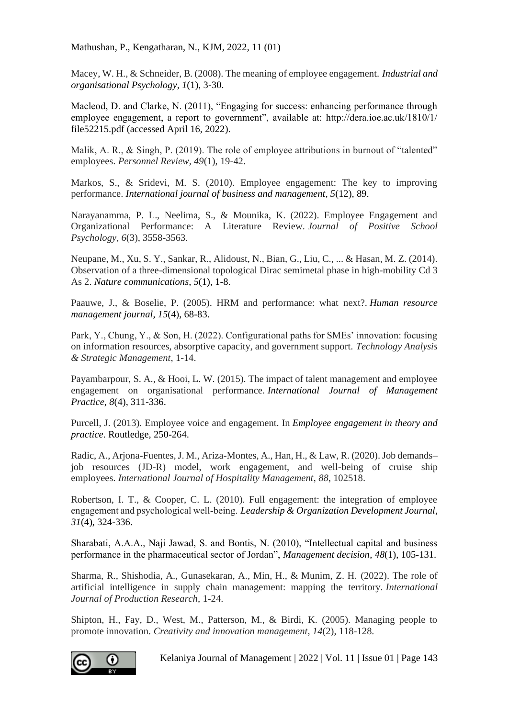Macey, W. H., & Schneider, B. (2008). The meaning of employee engagement. *Industrial and organisational Psychology*, *1*(1), 3-30.

Macleod, D. and Clarke, N. (2011), "Engaging for success: enhancing performance through employee engagement, a report to government", available at: http://dera.ioe.ac.uk/1810/1/ file52215.pdf (accessed April 16, 2022).

Malik, A. R., & Singh, P. (2019). The role of employee attributions in burnout of "talented" employees. *Personnel Review*, *49*(1), 19-42.

Markos, S., & Sridevi, M. S. (2010). Employee engagement: The key to improving performance. *International journal of business and management*, *5*(12), 89.

Narayanamma, P. L., Neelima, S., & Mounika, K. (2022). Employee Engagement and Organizational Performance: A Literature Review. *Journal of Positive School Psychology*, *6*(3), 3558-3563.

Neupane, M., Xu, S. Y., Sankar, R., Alidoust, N., Bian, G., Liu, C., ... & Hasan, M. Z. (2014). Observation of a three-dimensional topological Dirac semimetal phase in high-mobility Cd 3 As 2. *Nature communications*, *5*(1), 1-8.

Paauwe, J., & Boselie, P. (2005). HRM and performance: what next?. *Human resource management journal*, *15*(4), 68-83.

Park, Y., Chung, Y., & Son, H. (2022). Configurational paths for SMEs' innovation: focusing on information resources, absorptive capacity, and government support. *Technology Analysis & Strategic Management*, 1-14.

Payambarpour, S. A., & Hooi, L. W. (2015). The impact of talent management and employee engagement on organisational performance. *International Journal of Management Practice*, *8*(4), 311-336.

Purcell, J. (2013). Employee voice and engagement. In *Employee engagement in theory and practice*. Routledge, 250-264.

Radic, A., Arjona-Fuentes, J. M., Ariza-Montes, A., Han, H., & Law, R. (2020). Job demands– job resources (JD-R) model, work engagement, and well-being of cruise ship employees. *International Journal of Hospitality Management*, *88*, 102518.

Robertson, I. T., & Cooper, C. L. (2010). Full engagement: the integration of employee engagement and psychological well‐being. *Leadership & Organization Development Journal*, *31*(4), 324-336.

Sharabati, A.A.A., Naji Jawad, S. and Bontis, N. (2010), "Intellectual capital and business performance in the pharmaceutical sector of Jordan", *Management decision*, *48*(1), 105-131.

Sharma, R., Shishodia, A., Gunasekaran, A., Min, H., & Munim, Z. H. (2022). The role of artificial intelligence in supply chain management: mapping the territory. *International Journal of Production Research*, 1-24.

Shipton, H., Fay, D., West, M., Patterson, M., & Birdi, K. (2005). Managing people to promote innovation. *Creativity and innovation management*, *14*(2), 118-128.